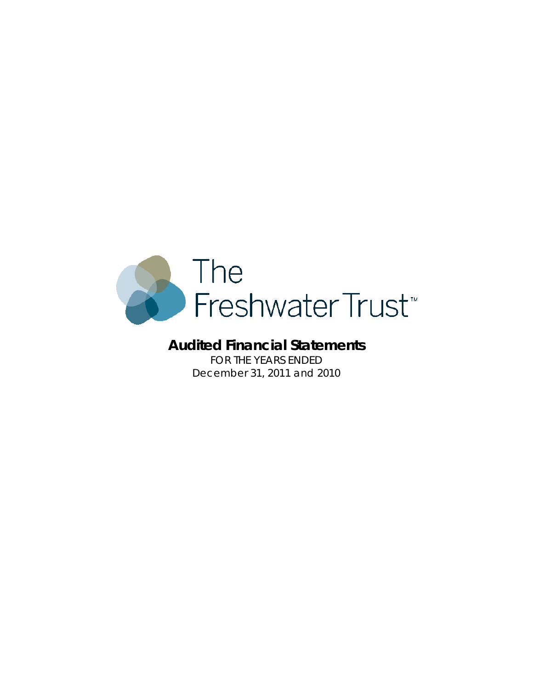

## **Audited Financial Statements**

FOR THE YEARS ENDED December 31, 2011 and 2010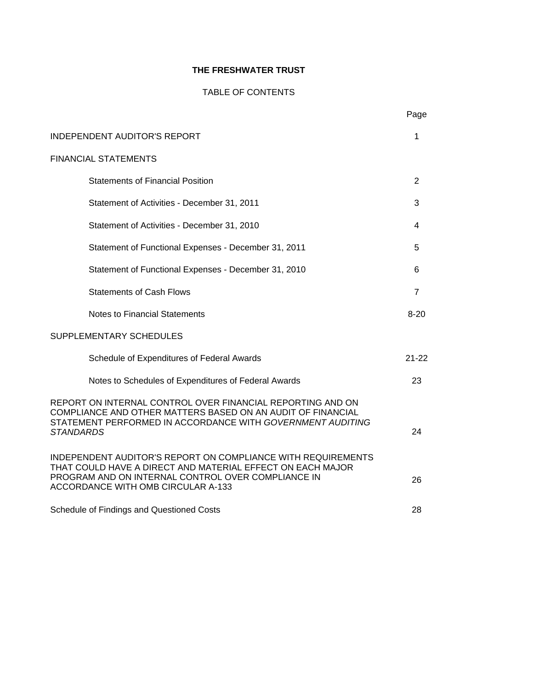### **THE FRESHWATER TRUST**

### TABLE OF CONTENTS

|                                                                                                                                                        | Page     |
|--------------------------------------------------------------------------------------------------------------------------------------------------------|----------|
| INDEPENDENT AUDITOR'S REPORT                                                                                                                           | 1        |
| <b>FINANCIAL STATEMENTS</b>                                                                                                                            |          |
| <b>Statements of Financial Position</b>                                                                                                                | 2        |
| Statement of Activities - December 31, 2011                                                                                                            | 3        |
| Statement of Activities - December 31, 2010                                                                                                            | 4        |
| Statement of Functional Expenses - December 31, 2011                                                                                                   | 5        |
| Statement of Functional Expenses - December 31, 2010                                                                                                   | 6        |
| <b>Statements of Cash Flows</b>                                                                                                                        | 7        |
| <b>Notes to Financial Statements</b>                                                                                                                   | $8 - 20$ |
| SUPPLEMENTARY SCHEDULES                                                                                                                                |          |
| Schedule of Expenditures of Federal Awards                                                                                                             | 21-22    |
| Notes to Schedules of Expenditures of Federal Awards                                                                                                   | 23       |
| REPORT ON INTERNAL CONTROL OVER FINANCIAL REPORTING AND ON<br>COMPLIANCE AND OTHER MATTERS BASED ON AN AUDIT OF FINANCIAL                              |          |
| STATEMENT PERFORMED IN ACCORDANCE WITH GOVERNMENT AUDITING<br><b>STANDARDS</b>                                                                         | 24       |
| <b>INDEPENDENT AUDITOR'S REPORT ON COMPLIANCE WITH REQUIREMENTS</b>                                                                                    |          |
| THAT COULD HAVE A DIRECT AND MATERIAL EFFECT ON EACH MAJOR<br>PROGRAM AND ON INTERNAL CONTROL OVER COMPLIANCE IN<br>ACCORDANCE WITH OMB CIRCULAR A-133 | 26       |
| Schedule of Findings and Questioned Costs                                                                                                              | 28       |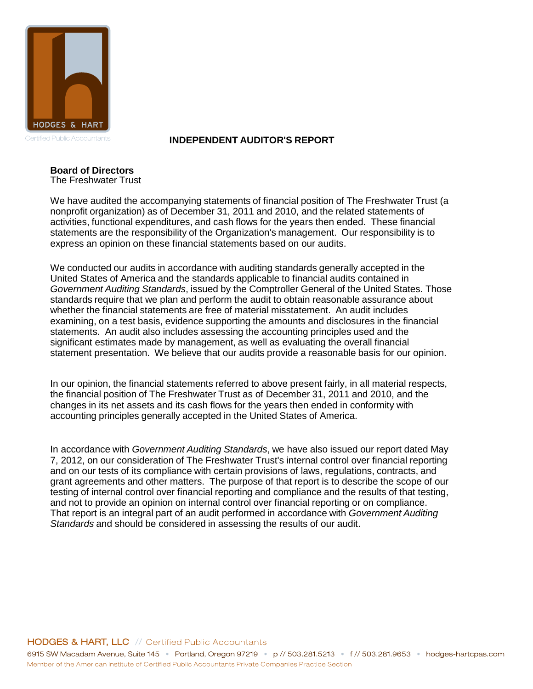

### **INDEPENDENT AUDITOR'S REPORT**

## **Board of Directors**

The Freshwater Trust

We have audited the accompanying statements of financial position of The Freshwater Trust (a nonprofit organization) as of December 31, 2011 and 2010, and the related statements of activities, functional expenditures, and cash flows for the years then ended. These financial statements are the responsibility of the Organization's management. Our responsibility is to express an opinion on these financial statements based on our audits.

We conducted our audits in accordance with auditing standards generally accepted in the United States of America and the standards applicable to financial audits contained in *Government Auditing Standards*, issued by the Comptroller General of the United States. Those standards require that we plan and perform the audit to obtain reasonable assurance about whether the financial statements are free of material misstatement. An audit includes examining, on a test basis, evidence supporting the amounts and disclosures in the financial statements. An audit also includes assessing the accounting principles used and the significant estimates made by management, as well as evaluating the overall financial statement presentation. We believe that our audits provide a reasonable basis for our opinion.

In our opinion, the financial statements referred to above present fairly, in all material respects, the financial position of The Freshwater Trust as of December 31, 2011 and 2010, and the changes in its net assets and its cash flows for the years then ended in conformity with accounting principles generally accepted in the United States of America.

In accordance with *Government Auditing Standards*, we have also issued our report dated May 7, 2012, on our consideration of The Freshwater Trust's internal control over financial reporting and on our tests of its compliance with certain provisions of laws, regulations, contracts, and grant agreements and other matters. The purpose of that report is to describe the scope of our testing of internal control over financial reporting and compliance and the results of that testing, and not to provide an opinion on internal control over financial reporting or on compliance. That report is an integral part of an audit performed in accordance with *Government Auditing Standards* and should be considered in assessing the results of our audit.

### HODGES & HART, LLC // Certified Public Accountants

6915 SW Macadam Avenue, Suite 145 Portland, Oregon 97219 p//503.281.5213 f//503.281.9653 hodges-hartcpas.com Member of the American Institute of Certified Public Accountants Private Companies Practice Section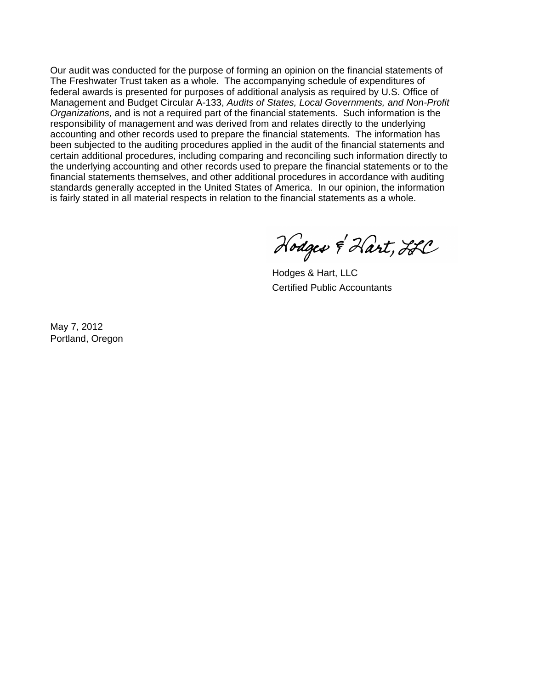Our audit was conducted for the purpose of forming an opinion on the financial statements of The Freshwater Trust taken as a whole. The accompanying schedule of expenditures of federal awards is presented for purposes of additional analysis as required by U.S. Office of Management and Budget Circular A-133, *Audits of States, Local Governments, and Non-Profit Organizations,* and is not a required part of the financial statements. Such information is the responsibility of management and was derived from and relates directly to the underlying accounting and other records used to prepare the financial statements. The information has been subjected to the auditing procedures applied in the audit of the financial statements and certain additional procedures, including comparing and reconciling such information directly to the underlying accounting and other records used to prepare the financial statements or to the financial statements themselves, and other additional procedures in accordance with auditing standards generally accepted in the United States of America. In our opinion, the information is fairly stated in all material respects in relation to the financial statements as a whole.

Hodges & Hart, ILC

Hodges & Hart, LLC Certified Public Accountants

May 7, 2012 Portland, Oregon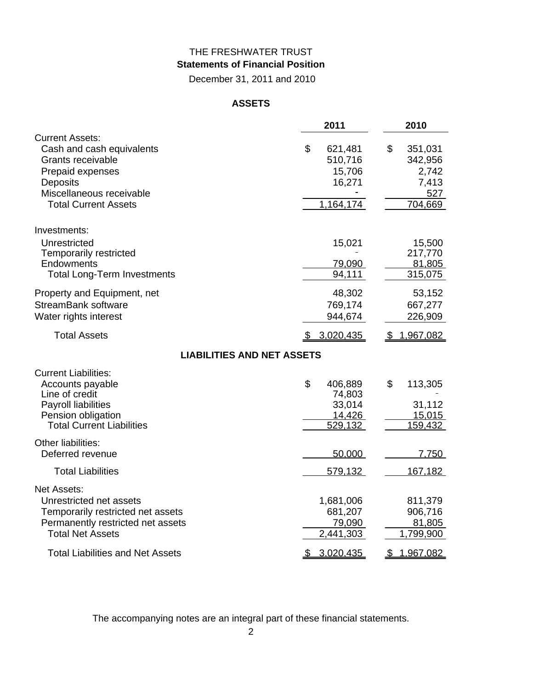## THE FRESHWATER TRUST **Statements of Financial Position**

December 31, 2011 and 2010

### **ASSETS**

|                                                                                                                                                                     | 2011                                                      | 2010                                                         |
|---------------------------------------------------------------------------------------------------------------------------------------------------------------------|-----------------------------------------------------------|--------------------------------------------------------------|
| <b>Current Assets:</b><br>Cash and cash equivalents<br>Grants receivable<br>Prepaid expenses<br>Deposits<br>Miscellaneous receivable<br><b>Total Current Assets</b> | \$<br>621,481<br>510,716<br>15,706<br>16,271<br>1,164,174 | \$<br>351,031<br>342,956<br>2,742<br>7,413<br>527<br>704,669 |
|                                                                                                                                                                     |                                                           |                                                              |
| Investments:<br>Unrestricted<br><b>Temporarily restricted</b><br>Endowments<br><b>Total Long-Term Investments</b>                                                   | 15,021<br>79,090<br>94,111                                | 15,500<br>217,770<br>81,805<br>315,075                       |
| Property and Equipment, net<br><b>StreamBank software</b><br>Water rights interest                                                                                  | 48,302<br>769,174<br>944,674                              | 53,152<br>667,277<br>226,909                                 |
| <b>Total Assets</b>                                                                                                                                                 | 3,020,435                                                 | 1,967,082                                                    |
|                                                                                                                                                                     | <b>LIABILITIES AND NET ASSETS</b>                         |                                                              |
| <b>Current Liabilities:</b><br>Accounts payable<br>Line of credit<br>Payroll liabilities<br>Pension obligation<br><b>Total Current Liabilities</b>                  | \$<br>406,889<br>74,803<br>33,014<br>14,426<br>529,132    | \$<br>113,305<br>31,112<br>15,015<br>159,432                 |
| Other liabilities:<br>Deferred revenue                                                                                                                              | 50,000                                                    | 7,750                                                        |
| <b>Total Liabilities</b>                                                                                                                                            | 579,132                                                   | 167,182                                                      |
| Net Assets:<br>Unrestricted net assets<br>Temporarily restricted net assets<br>Permanently restricted net assets<br><b>Total Net Assets</b>                         | 1,681,006<br>681,207<br>79,090<br>2,441,303               | 811,379<br>906,716<br>81,805<br>1,799,900                    |
| <b>Total Liabilities and Net Assets</b>                                                                                                                             | 3,020,435<br>\$                                           | \$1,967,082                                                  |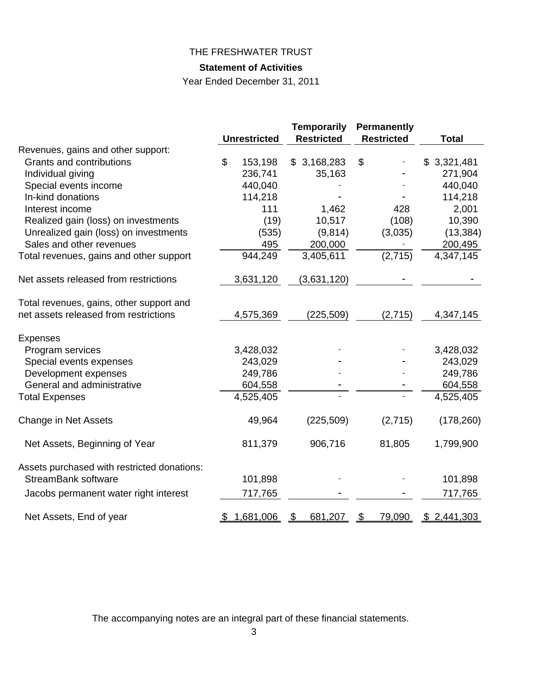### THE FRESHWATER TRUST

### **Statement of Activities**

Year Ended December 31, 2011

|                                             |           |                     | <b>Temporarily</b> | <b>Permanently</b>  |                    |
|---------------------------------------------|-----------|---------------------|--------------------|---------------------|--------------------|
|                                             |           | <b>Unrestricted</b> | <b>Restricted</b>  | <b>Restricted</b>   | <b>Total</b>       |
| Revenues, gains and other support:          |           |                     |                    |                     |                    |
| Grants and contributions                    | \$        | 153,198             | 3,168,283<br>\$    | \$                  | \$3,321,481        |
| Individual giving                           |           | 236,741             | 35,163             |                     | 271,904            |
| Special events income                       |           | 440,040             |                    |                     | 440,040            |
| In-kind donations                           |           | 114,218             |                    |                     | 114,218            |
| Interest income                             |           | 111                 | 1,462              | 428                 | 2,001              |
| Realized gain (loss) on investments         |           | (19)                | 10,517             | (108)               | 10,390             |
| Unrealized gain (loss) on investments       |           | (535)               | (9,814)            | (3,035)             | (13, 384)          |
| Sales and other revenues                    |           | 495                 | 200,000            |                     | 200,495            |
| Total revenues, gains and other support     |           | 944,249             | 3,405,611          | (2,715)             | 4,347,145          |
| Net assets released from restrictions       |           | 3,631,120           | (3,631,120)        |                     |                    |
| Total revenues, gains, other support and    |           |                     |                    |                     |                    |
| net assets released from restrictions       |           | 4,575,369           | (225, 509)         | (2,715)             | 4,347,145          |
| <b>Expenses</b>                             |           |                     |                    |                     |                    |
| Program services                            |           | 3,428,032           |                    |                     | 3,428,032          |
| Special events expenses                     |           | 243,029             |                    |                     | 243,029            |
| Development expenses                        |           | 249,786             |                    |                     | 249,786            |
| General and administrative                  |           | 604,558             |                    |                     | 604,558            |
| <b>Total Expenses</b>                       |           | 4,525,405           |                    |                     | 4,525,405          |
| <b>Change in Net Assets</b>                 |           | 49,964              | (225, 509)         | (2,715)             | (178, 260)         |
| Net Assets, Beginning of Year               |           | 811,379             | 906,716            | 81,805              | 1,799,900          |
| Assets purchased with restricted donations: |           |                     |                    |                     |                    |
| <b>StreamBank software</b>                  |           | 101,898             |                    |                     | 101,898            |
| Jacobs permanent water right interest       |           | 717,765             |                    |                     | 717,765            |
| Net Assets, End of year                     | <u>\$</u> | 1,681,006           | 681,207<br>\$      | <u>\$</u><br>79,090 | <u>\$2,441,303</u> |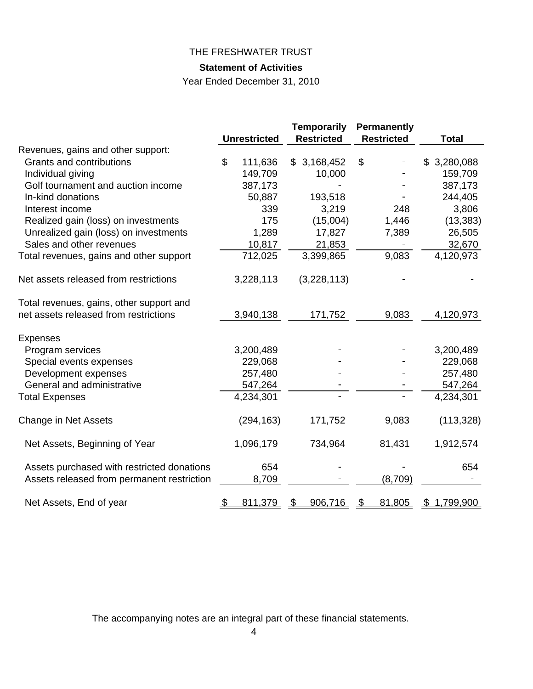### THE FRESHWATER TRUST

### **Statement of Activities**

Year Ended December 31, 2010

|                                            | <b>Unrestricted</b> | <b>Temporarily</b><br><b>Restricted</b> | <b>Permanently</b><br><b>Restricted</b> | <b>Total</b> |
|--------------------------------------------|---------------------|-----------------------------------------|-----------------------------------------|--------------|
| Revenues, gains and other support:         |                     |                                         |                                         |              |
| Grants and contributions                   | \$<br>111,636       | 3,168,452<br>\$                         | \$                                      | 3,280,088    |
| Individual giving                          | 149,709             | 10,000                                  |                                         | 159,709      |
| Golf tournament and auction income         | 387,173             |                                         |                                         | 387,173      |
| In-kind donations                          | 50,887              | 193,518                                 |                                         | 244,405      |
| Interest income                            | 339                 | 3,219                                   | 248                                     | 3,806        |
| Realized gain (loss) on investments        | 175                 | (15,004)                                | 1,446                                   | (13, 383)    |
| Unrealized gain (loss) on investments      | 1,289               | 17,827                                  | 7,389                                   | 26,505       |
| Sales and other revenues                   | 10,817              | 21,853                                  |                                         | 32,670       |
| Total revenues, gains and other support    | 712,025             | 3,399,865                               | 9,083                                   | 4,120,973    |
| Net assets released from restrictions      | 3,228,113           | (3,228,113)                             |                                         |              |
| Total revenues, gains, other support and   |                     |                                         |                                         |              |
| net assets released from restrictions      | 3,940,138           | 171,752                                 | 9,083                                   | 4,120,973    |
| <b>Expenses</b>                            |                     |                                         |                                         |              |
| Program services                           | 3,200,489           |                                         |                                         | 3,200,489    |
| Special events expenses                    | 229,068             |                                         |                                         | 229,068      |
| Development expenses                       | 257,480             |                                         |                                         | 257,480      |
| General and administrative                 | 547,264             |                                         |                                         | 547,264      |
| <b>Total Expenses</b>                      | 4,234,301           |                                         |                                         | 4,234,301    |
| <b>Change in Net Assets</b>                | (294, 163)          | 171,752                                 | 9,083                                   | (113, 328)   |
| Net Assets, Beginning of Year              | 1,096,179           | 734,964                                 | 81,431                                  | 1,912,574    |
| Assets purchased with restricted donations | 654                 |                                         |                                         | 654          |
| Assets released from permanent restriction | 8,709               |                                         | (8,709)                                 |              |
| Net Assets, End of year                    | 811,379<br>\$       | $\mathfrak{F}$<br>906,716               | 81,805<br>\$                            | \$1,799,900  |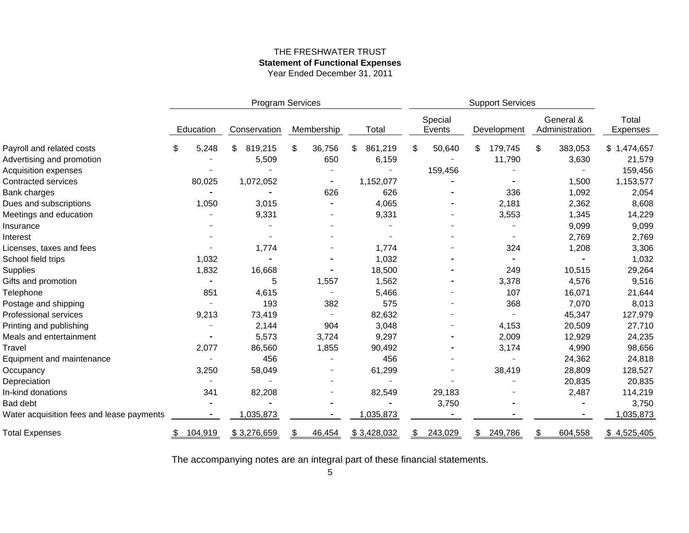#### THE FRESHWATER TRUST **Statement of Functional Expenses** Year Ended December 31, 2011

|                                           | <b>Program Services</b> |                |              |              |                   |               |                             |                   |
|-------------------------------------------|-------------------------|----------------|--------------|--------------|-------------------|---------------|-----------------------------|-------------------|
|                                           | Education               | Conservation   | Membership   | Total        | Special<br>Events | Development   | General &<br>Administration | Total<br>Expenses |
| Payroll and related costs                 | 5,248                   | 819,215<br>\$. | \$<br>36,756 | 861,219<br>S | 50,640<br>\$      | 179,745<br>\$ | \$<br>383,053               | \$1,474,657       |
| Advertising and promotion                 |                         | 5,509          | 650          | 6,159        |                   | 11,790        | 3,630                       | 21,579            |
| Acquisition expenses                      |                         |                |              |              | 159,456           |               |                             | 159,456           |
| <b>Contracted services</b>                | 80,025                  | 1,072,052      |              | 1,152,077    |                   |               | 1,500                       | 1,153,577         |
| Bank charges                              |                         |                | 626          | 626          |                   | 336           | 1,092                       | 2,054             |
| Dues and subscriptions                    | 1,050                   | 3,015          |              | 4,065        |                   | 2,181         | 2,362                       | 8,608             |
| Meetings and education                    |                         | 9,331          |              | 9,331        |                   | 3,553         | 1,345                       | 14,229            |
| Insurance                                 |                         |                |              |              |                   |               | 9,099                       | 9,099             |
| Interest                                  |                         |                |              |              |                   |               | 2,769                       | 2,769             |
| Licenses, taxes and fees                  |                         | 1,774          |              | 1,774        |                   | 324           | 1,208                       | 3,306             |
| School field trips                        | 1,032                   |                |              | 1,032        |                   |               |                             | 1,032             |
| <b>Supplies</b>                           | 1,832                   | 16,668         |              | 18,500       |                   | 249           | 10,515                      | 29,264            |
| Gifts and promotion                       |                         | 5              | 1,557        | 1,562        |                   | 3,378         | 4,576                       | 9,516             |
| Telephone                                 | 851                     | 4,615          |              | 5,466        |                   | 107           | 16,071                      | 21,644            |
| Postage and shipping                      |                         | 193            | 382          | 575          |                   | 368           | 7,070                       | 8,013             |
| <b>Professional services</b>              | 9,213                   | 73,419         |              | 82,632       |                   |               | 45,347                      | 127,979           |
| Printing and publishing                   |                         | 2,144          | 904          | 3,048        |                   | 4,153         | 20,509                      | 27,710            |
| Meals and entertainment                   |                         | 5,573          | 3,724        | 9,297        |                   | 2,009         | 12,929                      | 24,235            |
| Travel                                    | 2,077                   | 86,560         | 1,855        | 90,492       |                   | 3,174         | 4,990                       | 98,656            |
| Equipment and maintenance                 |                         | 456            |              | 456          |                   |               | 24,362                      | 24,818            |
| Occupancy                                 | 3,250                   | 58,049         |              | 61,299       |                   | 38,419        | 28,809                      | 128,527           |
| Depreciation                              |                         |                |              |              |                   |               | 20,835                      | 20,835            |
| In-kind donations                         | 341                     | 82,208         |              | 82,549       | 29,183            |               | 2,487                       | 114,219           |
| Bad debt                                  |                         |                |              |              | 3,750             |               |                             | 3,750             |
| Water acquisition fees and lease payments |                         | ,035,873       |              | ,035,873     |                   |               |                             | 1,035,873         |
| <b>Total Expenses</b>                     | 104,919                 | \$3,276,659    | 46,454       | \$3,428,032  | 243,029           | 249,786       | 604,558                     | \$4,525,405       |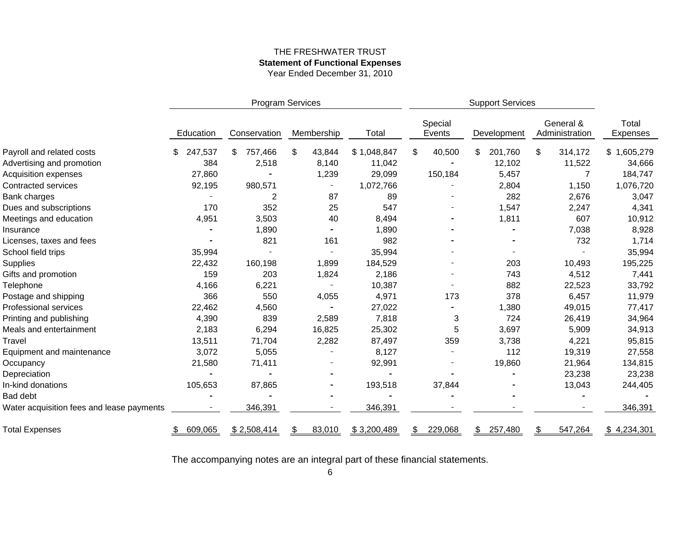#### THE FRESHWATER TRUST **Statement of Functional Expenses** Year Ended December 31, 2010

|                                           | <b>Program Services</b> |               |                          |             |                   |               |                             |                          |
|-------------------------------------------|-------------------------|---------------|--------------------------|-------------|-------------------|---------------|-----------------------------|--------------------------|
|                                           | Education               | Conservation  | Membership               | Total       | Special<br>Events | Development   | General &<br>Administration | Total<br><b>Expenses</b> |
| Payroll and related costs                 | 247,537<br>S            | 757,466<br>S. | 43,844<br>\$             | \$1,048,847 | 40,500<br>\$      | 201,760<br>S. | 314,172<br>\$               | \$1,605,279              |
| Advertising and promotion                 | 384                     | 2,518         | 8,140                    | 11,042      |                   | 12,102        | 11,522                      | 34,666                   |
| Acquisition expenses                      | 27,860                  |               | 1,239                    | 29,099      | 150,184           | 5,457         | 7                           | 184,747                  |
| Contracted services                       | 92,195                  | 980,571       |                          | 1,072,766   |                   | 2,804         | 1,150                       | 1,076,720                |
| Bank charges                              |                         | 2             | 87                       | 89          |                   | 282           | 2,676                       | 3,047                    |
| Dues and subscriptions                    | 170                     | 352           | 25                       | 547         |                   | 1,547         | 2,247                       | 4,341                    |
| Meetings and education                    | 4,951                   | 3,503         | 40                       | 8,494       |                   | 1,811         | 607                         | 10,912                   |
| Insurance                                 |                         | 1,890         |                          | 1,890       |                   |               | 7,038                       | 8,928                    |
| Licenses, taxes and fees                  |                         | 821           | 161                      | 982         |                   |               | 732                         | 1,714                    |
| School field trips                        | 35,994                  |               |                          | 35,994      |                   |               |                             | 35,994                   |
| <b>Supplies</b>                           | 22,432                  | 160,198       | 1,899                    | 184,529     |                   | 203           | 10,493                      | 195,225                  |
| Gifts and promotion                       | 159                     | 203           | 1,824                    | 2,186       |                   | 743           | 4,512                       | 7,441                    |
| Telephone                                 | 4,166                   | 6,221         |                          | 10,387      |                   | 882           | 22,523                      | 33,792                   |
| Postage and shipping                      | 366                     | 550           | 4,055                    | 4,971       | 173               | 378           | 6,457                       | 11,979                   |
| <b>Professional services</b>              | 22,462                  | 4,560         |                          | 27,022      |                   | 1,380         | 49,015                      | 77,417                   |
| Printing and publishing                   | 4,390                   | 839           | 2,589                    | 7,818       | 3                 | 724           | 26,419                      | 34,964                   |
| Meals and entertainment                   | 2,183                   | 6,294         | 16,825                   | 25,302      | 5                 | 3,697         | 5,909                       | 34,913                   |
| Travel                                    | 13,511                  | 71,704        | 2,282                    | 87,497      | 359               | 3,738         | 4,221                       | 95,815                   |
| Equipment and maintenance                 | 3,072                   | 5,055         |                          | 8,127       |                   | 112           | 19,319                      | 27,558                   |
| Occupancy                                 | 21,580                  | 71,411        |                          | 92,991      |                   | 19,860        | 21,964                      | 134,815                  |
| Depreciation                              |                         |               |                          |             |                   |               | 23,238                      | 23,238                   |
| In-kind donations                         | 105,653                 | 87,865        | $\overline{\phantom{a}}$ | 193,518     | 37,844            |               | 13,043                      | 244,405                  |
| Bad debt                                  |                         |               |                          |             |                   |               |                             |                          |
| Water acquisition fees and lease payments |                         | 346,391       |                          | 346,391     |                   |               |                             | 346,391                  |
| <b>Total Expenses</b>                     | 609,065                 | \$2,508,414   | \$<br>83,010             | \$3,200,489 | 229,068<br>\$.    | 257,480<br>\$ | \$<br>547,264               | \$4,234,301              |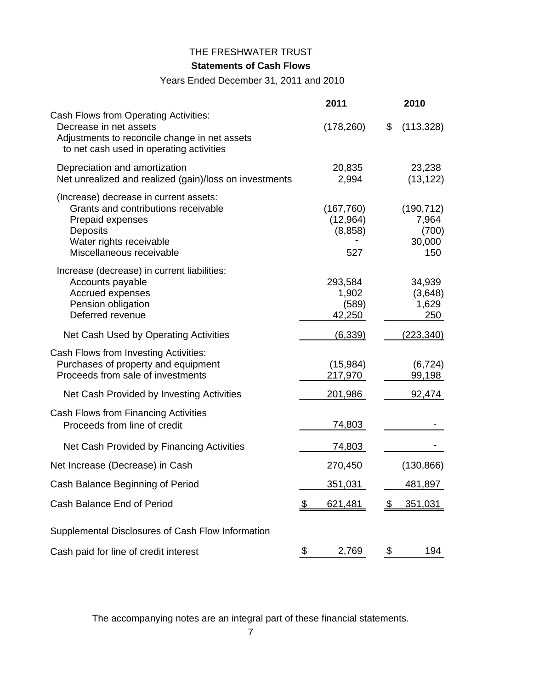#### THE FRESHWATER TRUST

### **Statements of Cash Flows**

Years Ended December 31, 2011 and 2010

|                                                                                                                                                                             | 2011                                      | 2010                                          |  |  |
|-----------------------------------------------------------------------------------------------------------------------------------------------------------------------------|-------------------------------------------|-----------------------------------------------|--|--|
| Cash Flows from Operating Activities:<br>Decrease in net assets<br>Adjustments to reconcile change in net assets<br>to net cash used in operating activities                | (178, 260)                                | \$<br>(113, 328)                              |  |  |
| Depreciation and amortization<br>Net unrealized and realized (gain)/loss on investments                                                                                     | 20,835<br>2,994                           | 23,238<br>(13, 122)                           |  |  |
| (Increase) decrease in current assets:<br>Grants and contributions receivable<br>Prepaid expenses<br><b>Deposits</b><br>Water rights receivable<br>Miscellaneous receivable | (167, 760)<br>(12, 964)<br>(8,858)<br>527 | (190, 712)<br>7,964<br>(700)<br>30,000<br>150 |  |  |
| Increase (decrease) in current liabilities:<br>Accounts payable<br>Accrued expenses<br>Pension obligation<br>Deferred revenue                                               | 293,584<br>1,902<br>(589)<br>42,250       | 34,939<br>(3,648)<br>1,629<br>250             |  |  |
| Net Cash Used by Operating Activities                                                                                                                                       | (6, 339)                                  | (223, 340)                                    |  |  |
| Cash Flows from Investing Activities:<br>Purchases of property and equipment<br>Proceeds from sale of investments                                                           | (15,984)<br>217,970                       | (6, 724)<br>99,198                            |  |  |
| Net Cash Provided by Investing Activities                                                                                                                                   | 201,986                                   | 92,474                                        |  |  |
| Cash Flows from Financing Activities<br>Proceeds from line of credit                                                                                                        | 74,803                                    |                                               |  |  |
| Net Cash Provided by Financing Activities                                                                                                                                   | 74,803                                    |                                               |  |  |
| Net Increase (Decrease) in Cash                                                                                                                                             | 270,450                                   | (130, 866)                                    |  |  |
| Cash Balance Beginning of Period                                                                                                                                            | 351,031                                   | 481,897                                       |  |  |
| Cash Balance End of Period                                                                                                                                                  | 621,481                                   | 351,031                                       |  |  |
| Supplemental Disclosures of Cash Flow Information                                                                                                                           |                                           |                                               |  |  |
| Cash paid for line of credit interest                                                                                                                                       | \$<br>2,769                               | <u> 194</u><br>\$                             |  |  |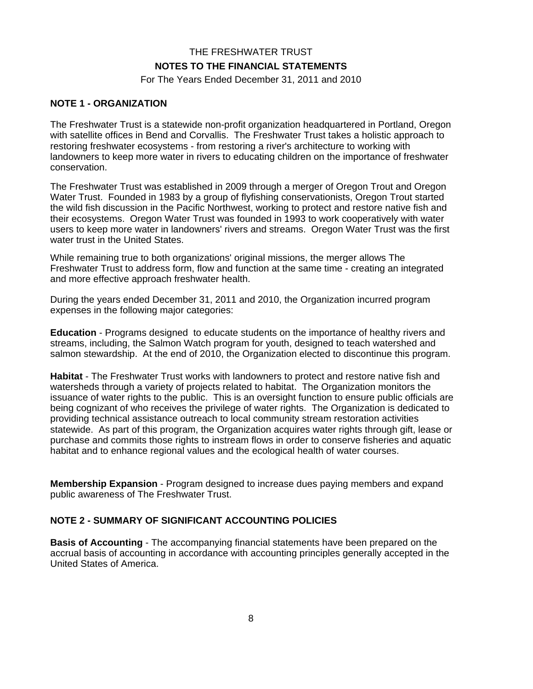For The Years Ended December 31, 2011 and 2010

#### **NOTE 1 - ORGANIZATION**

The Freshwater Trust is a statewide non-profit organization headquartered in Portland, Oregon with satellite offices in Bend and Corvallis. The Freshwater Trust takes a holistic approach to restoring freshwater ecosystems - from restoring a river's architecture to working with landowners to keep more water in rivers to educating children on the importance of freshwater conservation.

The Freshwater Trust was established in 2009 through a merger of Oregon Trout and Oregon Water Trust. Founded in 1983 by a group of flyfishing conservationists, Oregon Trout started the wild fish discussion in the Pacific Northwest, working to protect and restore native fish and their ecosystems. Oregon Water Trust was founded in 1993 to work cooperatively with water users to keep more water in landowners' rivers and streams. Oregon Water Trust was the first water trust in the United States.

While remaining true to both organizations' original missions, the merger allows The Freshwater Trust to address form, flow and function at the same time - creating an integrated and more effective approach freshwater health.

During the years ended December 31, 2011 and 2010, the Organization incurred program expenses in the following major categories:

**Education** - Programs designed to educate students on the importance of healthy rivers and streams, including, the Salmon Watch program for youth, designed to teach watershed and salmon stewardship. At the end of 2010, the Organization elected to discontinue this program.

**Habitat** - The Freshwater Trust works with landowners to protect and restore native fish and watersheds through a variety of projects related to habitat. The Organization monitors the issuance of water rights to the public. This is an oversight function to ensure public officials are being cognizant of who receives the privilege of water rights. The Organization is dedicated to providing technical assistance outreach to local community stream restoration activities statewide. As part of this program, the Organization acquires water rights through gift, lease or purchase and commits those rights to instream flows in order to conserve fisheries and aquatic habitat and to enhance regional values and the ecological health of water courses.

**Membership Expansion** - Program designed to increase dues paying members and expand public awareness of The Freshwater Trust.

#### **NOTE 2 - SUMMARY OF SIGNIFICANT ACCOUNTING POLICIES**

**Basis of Accounting** - The accompanying financial statements have been prepared on the accrual basis of accounting in accordance with accounting principles generally accepted in the United States of America.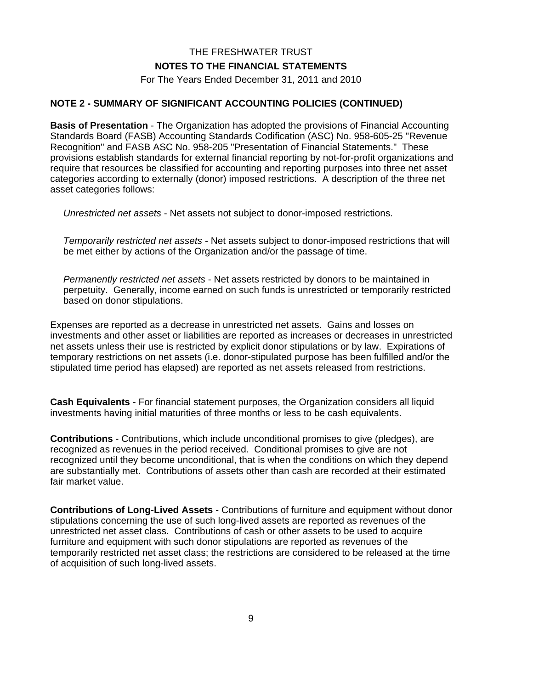For The Years Ended December 31, 2011 and 2010

### **NOTE 2 - SUMMARY OF SIGNIFICANT ACCOUNTING POLICIES (CONTINUED)**

**Basis of Presentation** - The Organization has adopted the provisions of Financial Accounting Standards Board (FASB) Accounting Standards Codification (ASC) No. 958-605-25 "Revenue Recognition" and FASB ASC No. 958-205 "Presentation of Financial Statements." These provisions establish standards for external financial reporting by not-for-profit organizations and require that resources be classified for accounting and reporting purposes into three net asset categories according to externally (donor) imposed restrictions. A description of the three net asset categories follows:

*Unrestricted net assets* - Net assets not subject to donor-imposed restrictions.

*Temporarily restricted net assets* - Net assets subject to donor-imposed restrictions that will be met either by actions of the Organization and/or the passage of time.

*Permanently restricted net assets* - Net assets restricted by donors to be maintained in perpetuity. Generally, income earned on such funds is unrestricted or temporarily restricted based on donor stipulations.

Expenses are reported as a decrease in unrestricted net assets. Gains and losses on investments and other asset or liabilities are reported as increases or decreases in unrestricted net assets unless their use is restricted by explicit donor stipulations or by law. Expirations of temporary restrictions on net assets (i.e. donor-stipulated purpose has been fulfilled and/or the stipulated time period has elapsed) are reported as net assets released from restrictions.

**Cash Equivalents** - For financial statement purposes, the Organization considers all liquid investments having initial maturities of three months or less to be cash equivalents.

**Contributions** - Contributions, which include unconditional promises to give (pledges), are recognized as revenues in the period received. Conditional promises to give are not recognized until they become unconditional, that is when the conditions on which they depend are substantially met. Contributions of assets other than cash are recorded at their estimated fair market value.

**Contributions of Long-Lived Assets** - Contributions of furniture and equipment without donor stipulations concerning the use of such long-lived assets are reported as revenues of the unrestricted net asset class. Contributions of cash or other assets to be used to acquire furniture and equipment with such donor stipulations are reported as revenues of the temporarily restricted net asset class; the restrictions are considered to be released at the time of acquisition of such long-lived assets.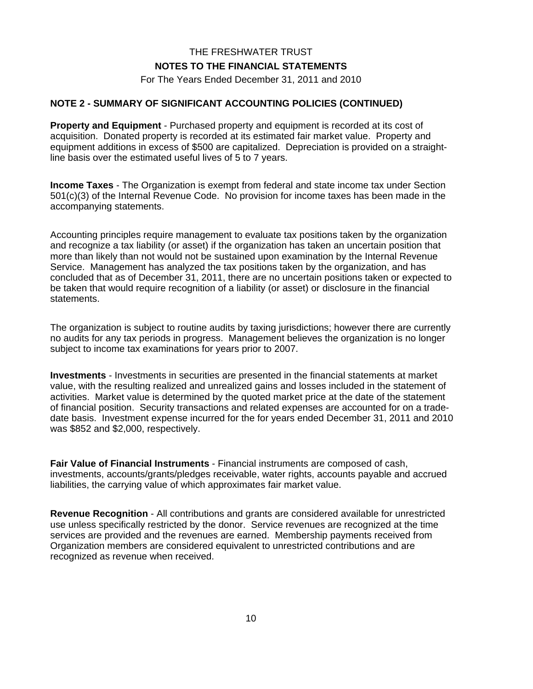For The Years Ended December 31, 2011 and 2010

#### **NOTE 2 - SUMMARY OF SIGNIFICANT ACCOUNTING POLICIES (CONTINUED)**

**Property and Equipment** - Purchased property and equipment is recorded at its cost of acquisition. Donated property is recorded at its estimated fair market value. Property and equipment additions in excess of \$500 are capitalized. Depreciation is provided on a straightline basis over the estimated useful lives of 5 to 7 years.

**Income Taxes** - The Organization is exempt from federal and state income tax under Section 501(c)(3) of the Internal Revenue Code. No provision for income taxes has been made in the accompanying statements.

Accounting principles require management to evaluate tax positions taken by the organization and recognize a tax liability (or asset) if the organization has taken an uncertain position that more than likely than not would not be sustained upon examination by the Internal Revenue Service. Management has analyzed the tax positions taken by the organization, and has concluded that as of December 31, 2011, there are no uncertain positions taken or expected to be taken that would require recognition of a liability (or asset) or disclosure in the financial statements.

The organization is subject to routine audits by taxing jurisdictions; however there are currently no audits for any tax periods in progress. Management believes the organization is no longer subject to income tax examinations for years prior to 2007.

**Investments** - Investments in securities are presented in the financial statements at market value, with the resulting realized and unrealized gains and losses included in the statement of activities. Market value is determined by the quoted market price at the date of the statement of financial position. Security transactions and related expenses are accounted for on a tradedate basis. Investment expense incurred for the for years ended December 31, 2011 and 2010 was \$852 and \$2,000, respectively.

**Fair Value of Financial Instruments** - Financial instruments are composed of cash, investments, accounts/grants/pledges receivable, water rights, accounts payable and accrued liabilities, the carrying value of which approximates fair market value.

**Revenue Recognition** - All contributions and grants are considered available for unrestricted use unless specifically restricted by the donor. Service revenues are recognized at the time services are provided and the revenues are earned. Membership payments received from Organization members are considered equivalent to unrestricted contributions and are recognized as revenue when received.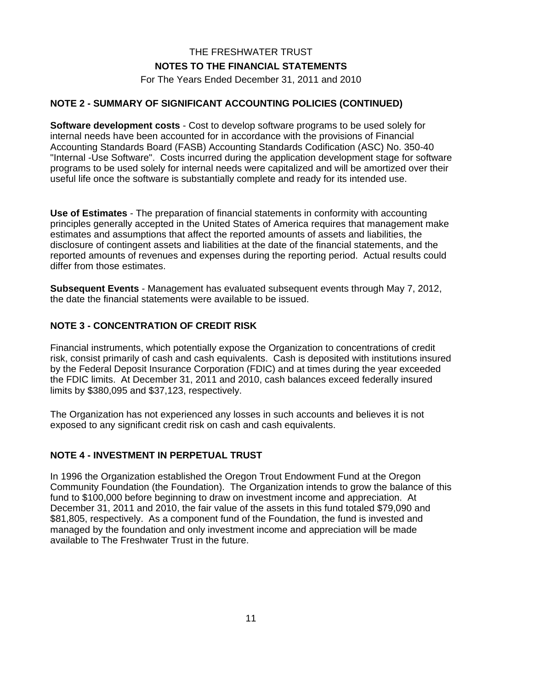For The Years Ended December 31, 2011 and 2010

### **NOTE 2 - SUMMARY OF SIGNIFICANT ACCOUNTING POLICIES (CONTINUED)**

**Software development costs** - Cost to develop software programs to be used solely for internal needs have been accounted for in accordance with the provisions of Financial Accounting Standards Board (FASB) Accounting Standards Codification (ASC) No. 350-40 "Internal -Use Software". Costs incurred during the application development stage for software programs to be used solely for internal needs were capitalized and will be amortized over their useful life once the software is substantially complete and ready for its intended use.

**Use of Estimates** - The preparation of financial statements in conformity with accounting principles generally accepted in the United States of America requires that management make estimates and assumptions that affect the reported amounts of assets and liabilities, the disclosure of contingent assets and liabilities at the date of the financial statements, and the reported amounts of revenues and expenses during the reporting period. Actual results could differ from those estimates.

**Subsequent Events** - Management has evaluated subsequent events through May 7, 2012, the date the financial statements were available to be issued.

### **NOTE 3 - CONCENTRATION OF CREDIT RISK**

Financial instruments, which potentially expose the Organization to concentrations of credit risk, consist primarily of cash and cash equivalents. Cash is deposited with institutions insured by the Federal Deposit Insurance Corporation (FDIC) and at times during the year exceeded the FDIC limits. At December 31, 2011 and 2010, cash balances exceed federally insured limits by \$380,095 and \$37,123, respectively.

The Organization has not experienced any losses in such accounts and believes it is not exposed to any significant credit risk on cash and cash equivalents.

#### **NOTE 4 - INVESTMENT IN PERPETUAL TRUST**

In 1996 the Organization established the Oregon Trout Endowment Fund at the Oregon Community Foundation (the Foundation). The Organization intends to grow the balance of this fund to \$100,000 before beginning to draw on investment income and appreciation. At December 31, 2011 and 2010, the fair value of the assets in this fund totaled \$79,090 and \$81,805, respectively. As a component fund of the Foundation, the fund is invested and managed by the foundation and only investment income and appreciation will be made available to The Freshwater Trust in the future.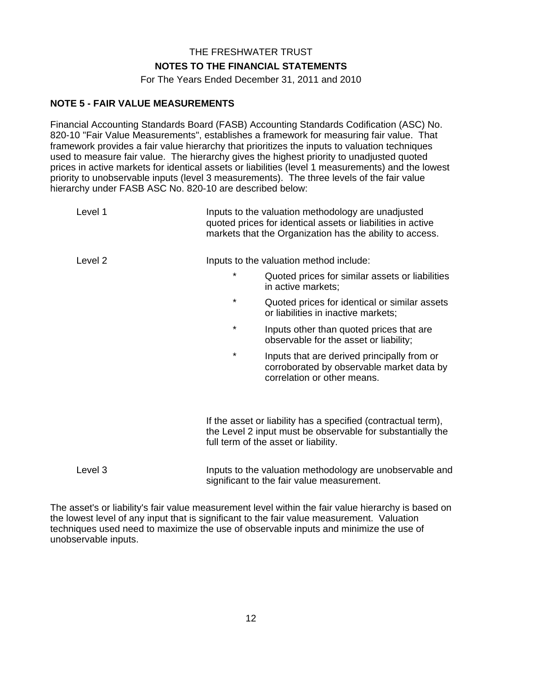For The Years Ended December 31, 2011 and 2010

### **NOTE 5 - FAIR VALUE MEASUREMENTS**

Financial Accounting Standards Board (FASB) Accounting Standards Codification (ASC) No. 820-10 "Fair Value Measurements", establishes a framework for measuring fair value. That framework provides a fair value hierarchy that prioritizes the inputs to valuation techniques used to measure fair value. The hierarchy gives the highest priority to unadjusted quoted prices in active markets for identical assets or liabilities (level 1 measurements) and the lowest priority to unobservable inputs (level 3 measurements). The three levels of the fair value hierarchy under FASB ASC No. 820-10 are described below:

| Level 1 | Inputs to the valuation methodology are unadjusted<br>quoted prices for identical assets or liabilities in active<br>markets that the Organization has the ability to access. |
|---------|-------------------------------------------------------------------------------------------------------------------------------------------------------------------------------|
| Level 2 | Inputs to the valuation method include:                                                                                                                                       |
|         | $\star$<br>Quoted prices for similar assets or liabilities<br>in active markets:                                                                                              |

- \* Quoted prices for identical or similar assets or liabilities in inactive markets;
- \* Inputs other than quoted prices that are observable for the asset or liability;
- Inputs that are derived principally from or corroborated by observable market data by correlation or other means.

If the asset or liability has a specified (contractual term), the Level 2 input must be observable for substantially the full term of the asset or liability.

Level 3 **Inputs to the valuation methodology are unobservable and** significant to the fair value measurement.

The asset's or liability's fair value measurement level within the fair value hierarchy is based on the lowest level of any input that is significant to the fair value measurement. Valuation techniques used need to maximize the use of observable inputs and minimize the use of unobservable inputs.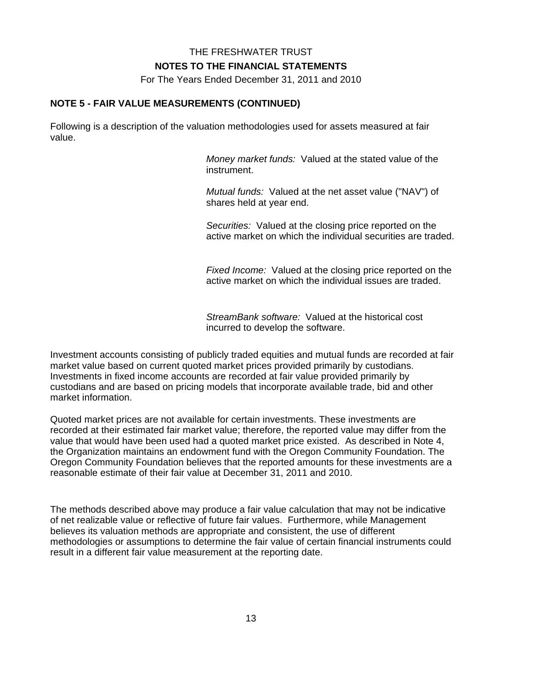For The Years Ended December 31, 2011 and 2010

### **NOTE 5 - FAIR VALUE MEASUREMENTS (CONTINUED)**

Following is a description of the valuation methodologies used for assets measured at fair value.

> *Money market funds:* Valued at the stated value of the instrument.

> *Mutual funds:* Valued at the net asset value ("NAV") of shares held at year end.

*Securities:* Valued at the closing price reported on the active market on which the individual securities are traded.

*Fixed Income:* Valued at the closing price reported on the active market on which the individual issues are traded.

*StreamBank software:* Valued at the historical cost incurred to develop the software.

Investment accounts consisting of publicly traded equities and mutual funds are recorded at fair market value based on current quoted market prices provided primarily by custodians. Investments in fixed income accounts are recorded at fair value provided primarily by custodians and are based on pricing models that incorporate available trade, bid and other market information.

Quoted market prices are not available for certain investments. These investments are recorded at their estimated fair market value; therefore, the reported value may differ from the value that would have been used had a quoted market price existed. As described in Note 4, the Organization maintains an endowment fund with the Oregon Community Foundation. The Oregon Community Foundation believes that the reported amounts for these investments are a reasonable estimate of their fair value at December 31, 2011 and 2010.

The methods described above may produce a fair value calculation that may not be indicative of net realizable value or reflective of future fair values. Furthermore, while Management believes its valuation methods are appropriate and consistent, the use of different methodologies or assumptions to determine the fair value of certain financial instruments could result in a different fair value measurement at the reporting date.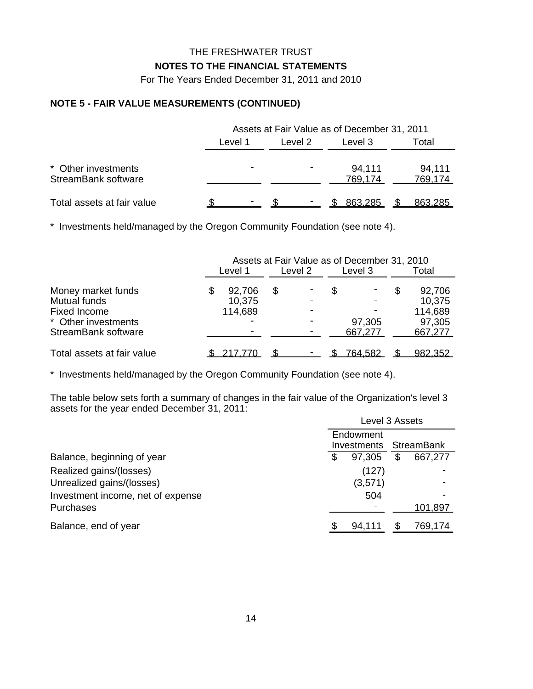For The Years Ended December 31, 2011 and 2010

### **NOTE 5 - FAIR VALUE MEASUREMENTS (CONTINUED)**

|                            | Assets at Fair Value as of December 31, 2011 |                          |         |         |  |  |  |  |
|----------------------------|----------------------------------------------|--------------------------|---------|---------|--|--|--|--|
|                            | Level 1                                      | Level 2                  | Level 3 | Total   |  |  |  |  |
| * Other investments        |                                              |                          | 94,111  | 94,111  |  |  |  |  |
| StreamBank software        | -                                            | $\overline{\phantom{a}}$ | 769,174 | 769,174 |  |  |  |  |
| Total assets at fair value |                                              |                          | 863.285 | 863.285 |  |  |  |  |

\* Investments held/managed by the Oregon Community Foundation (see note 4).

|                            | Assets at Fair Value as of December 31, 2010 |         |         |                 |         |                |       |         |
|----------------------------|----------------------------------------------|---------|---------|-----------------|---------|----------------|-------|---------|
|                            | Level 1                                      |         | Level 2 |                 | Level 3 |                | Total |         |
| Money market funds         |                                              | 92,706  | \$      |                 | \$      |                | \$    | 92,706  |
| Mutual funds               |                                              | 10,375  |         | $\qquad \qquad$ |         |                |       | 10,375  |
| Fixed Income               |                                              | 114,689 |         |                 |         |                |       | 114,689 |
| * Other investments        |                                              |         |         |                 |         | 97,305         |       | 97,305  |
| <b>StreamBank software</b> |                                              |         |         |                 |         | 667,277        |       | 667,277 |
| Total assets at fair value |                                              |         |         |                 |         | <u>764.582</u> |       | 982.352 |

\* Investments held/managed by the Oregon Community Foundation (see note 4).

The table below sets forth a summary of changes in the fair value of the Organization's level 3 assets for the year ended December 31, 2011:

|                                   | Level 3 Assets           |         |    |            |  |
|-----------------------------------|--------------------------|---------|----|------------|--|
|                                   | Endowment<br>Investments |         |    | StreamBank |  |
| Balance, beginning of year        | S                        | 97,305  | \$ | 667,277    |  |
| Realized gains/(losses)           |                          | (127)   |    |            |  |
| Unrealized gains/(losses)         |                          | (3,571) |    |            |  |
| Investment income, net of expense |                          | 504     |    |            |  |
| <b>Purchases</b>                  |                          |         |    | 101,897    |  |
| Balance, end of year              |                          | 94.111  |    | 769,174    |  |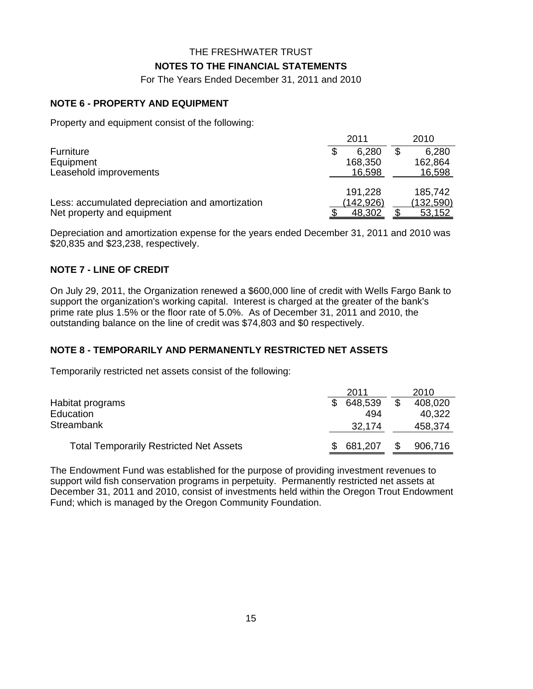For The Years Ended December 31, 2011 and 2010

### **NOTE 6 - PROPERTY AND EQUIPMENT**

Property and equipment consist of the following:

|                                                 | 2011        | 2010       |
|-------------------------------------------------|-------------|------------|
| Furniture                                       | 6.280<br>\$ | 6,280      |
| Equipment                                       | 168,350     | 162,864    |
| Leasehold improvements                          | 16,598      | 16,598     |
|                                                 | 191,228     | 185,742    |
| Less: accumulated depreciation and amortization | (142, 926)  | (132, 590) |
| Net property and equipment                      | 48,302      | 53,152     |

Depreciation and amortization expense for the years ended December 31, 2011 and 2010 was \$20,835 and \$23,238, respectively.

### **NOTE 7 - LINE OF CREDIT**

On July 29, 2011, the Organization renewed a \$600,000 line of credit with Wells Fargo Bank to support the organization's working capital. Interest is charged at the greater of the bank's prime rate plus 1.5% or the floor rate of 5.0%. As of December 31, 2011 and 2010, the outstanding balance on the line of credit was \$74,803 and \$0 respectively.

### **NOTE 8 - TEMPORARILY AND PERMANENTLY RESTRICTED NET ASSETS**

Temporarily restricted net assets consist of the following:

|                                                |     | 2011    | 2010          |
|------------------------------------------------|-----|---------|---------------|
| Habitat programs                               |     | 648.539 | \$<br>408,020 |
| Education                                      |     | 494     | 40,322        |
| <b>Streambank</b>                              |     | 32,174  | 458,374       |
| <b>Total Temporarily Restricted Net Assets</b> | \$. | 681,207 | 906,716       |

The Endowment Fund was established for the purpose of providing investment revenues to support wild fish conservation programs in perpetuity. Permanently restricted net assets at December 31, 2011 and 2010, consist of investments held within the Oregon Trout Endowment Fund; which is managed by the Oregon Community Foundation.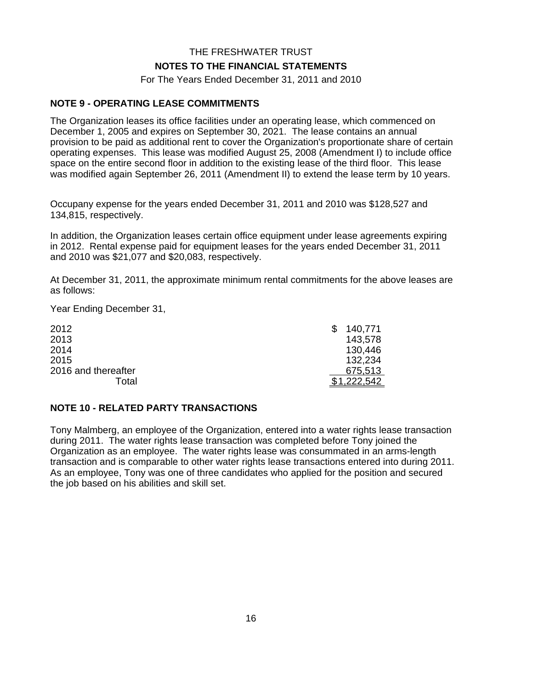For The Years Ended December 31, 2011 and 2010

### **NOTE 9 - OPERATING LEASE COMMITMENTS**

The Organization leases its office facilities under an operating lease, which commenced on December 1, 2005 and expires on September 30, 2021. The lease contains an annual provision to be paid as additional rent to cover the Organization's proportionate share of certain operating expenses. This lease was modified August 25, 2008 (Amendment I) to include office space on the entire second floor in addition to the existing lease of the third floor. This lease was modified again September 26, 2011 (Amendment II) to extend the lease term by 10 years.

Occupany expense for the years ended December 31, 2011 and 2010 was \$128,527 and 134,815, respectively.

In addition, the Organization leases certain office equipment under lease agreements expiring in 2012. Rental expense paid for equipment leases for the years ended December 31, 2011 and 2010 was \$21,077 and \$20,083, respectively.

At December 31, 2011, the approximate minimum rental commitments for the above leases are as follows:

Year Ending December 31,

| 2012                | 140,771  |  |
|---------------------|----------|--|
| 2013                | 143,578  |  |
| 2014                | 130,446  |  |
| 2015                | 132,234  |  |
| 2016 and thereafter | 675,513  |  |
| Total               | .222,542 |  |

### **NOTE 10 - RELATED PARTY TRANSACTIONS**

Tony Malmberg, an employee of the Organization, entered into a water rights lease transaction during 2011. The water rights lease transaction was completed before Tony joined the Organization as an employee. The water rights lease was consummated in an arms-length transaction and is comparable to other water rights lease transactions entered into during 2011. As an employee, Tony was one of three candidates who applied for the position and secured the job based on his abilities and skill set.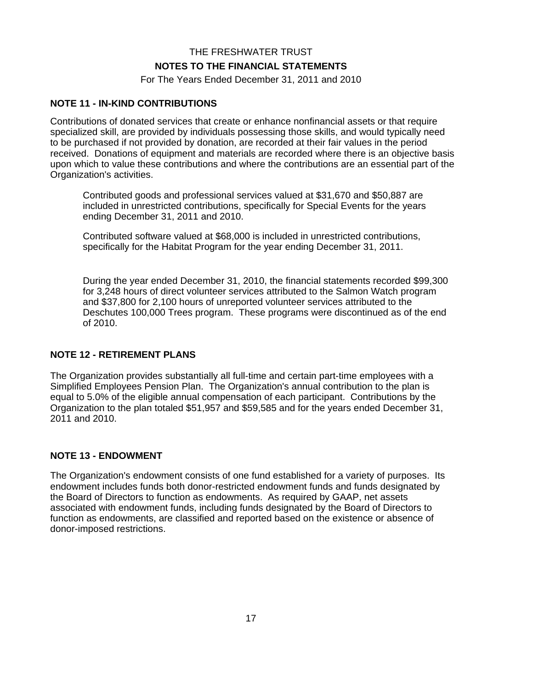For The Years Ended December 31, 2011 and 2010

### **NOTE 11 - IN-KIND CONTRIBUTIONS**

Contributions of donated services that create or enhance nonfinancial assets or that require specialized skill, are provided by individuals possessing those skills, and would typically need to be purchased if not provided by donation, are recorded at their fair values in the period received. Donations of equipment and materials are recorded where there is an objective basis upon which to value these contributions and where the contributions are an essential part of the Organization's activities.

Contributed goods and professional services valued at \$31,670 and \$50,887 are included in unrestricted contributions, specifically for Special Events for the years ending December 31, 2011 and 2010.

Contributed software valued at \$68,000 is included in unrestricted contributions, specifically for the Habitat Program for the year ending December 31, 2011.

During the year ended December 31, 2010, the financial statements recorded \$99,300 for 3,248 hours of direct volunteer services attributed to the Salmon Watch program and \$37,800 for 2,100 hours of unreported volunteer services attributed to the Deschutes 100,000 Trees program. These programs were discontinued as of the end of 2010.

### **NOTE 12 - RETIREMENT PLANS**

The Organization provides substantially all full-time and certain part-time employees with a Simplified Employees Pension Plan. The Organization's annual contribution to the plan is equal to 5.0% of the eligible annual compensation of each participant. Contributions by the Organization to the plan totaled \$51,957 and \$59,585 and for the years ended December 31, 2011 and 2010.

### **NOTE 13 - ENDOWMENT**

The Organization's endowment consists of one fund established for a variety of purposes. Its endowment includes funds both donor-restricted endowment funds and funds designated by the Board of Directors to function as endowments. As required by GAAP, net assets associated with endowment funds, including funds designated by the Board of Directors to function as endowments, are classified and reported based on the existence or absence of donor-imposed restrictions.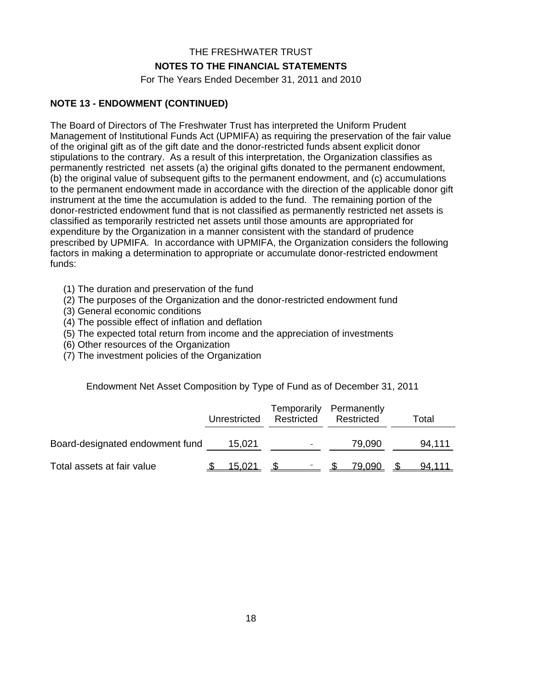For The Years Ended December 31, 2011 and 2010

### **NOTE 13 - ENDOWMENT (CONTINUED)**

The Board of Directors of The Freshwater Trust has interpreted the Uniform Prudent Management of Institutional Funds Act (UPMIFA) as requiring the preservation of the fair value of the original gift as of the gift date and the donor-restricted funds absent explicit donor stipulations to the contrary. As a result of this interpretation, the Organization classifies as permanently restricted net assets (a) the original gifts donated to the permanent endowment, (b) the original value of subsequent gifts to the permanent endowment, and (c) accumulations to the permanent endowment made in accordance with the direction of the applicable donor gift instrument at the time the accumulation is added to the fund. The remaining portion of the donor-restricted endowment fund that is not classified as permanently restricted net assets is classified as temporarily restricted net assets until those amounts are appropriated for expenditure by the Organization in a manner consistent with the standard of prudence prescribed by UPMIFA. In accordance with UPMIFA, the Organization considers the following factors in making a determination to appropriate or accumulate donor-restricted endowment funds:

- (1) The duration and preservation of the fund
- (2) The purposes of the Organization and the donor-restricted endowment fund
- (3) General economic conditions
- (4) The possible effect of inflation and deflation
- (5) The expected total return from income and the appreciation of investments
- (6) Other resources of the Organization
- (7) The investment policies of the Organization

Endowment Net Asset Composition by Type of Fund as of December 31, 2011

|                                 | Unrestricted | Restricted                   | Temporarily Permanently<br>Restricted | Total  |
|---------------------------------|--------------|------------------------------|---------------------------------------|--------|
| Board-designated endowment fund | 15,021       | $\qquad \qquad \blacksquare$ | 79,090                                | 94,111 |
| Total assets at fair value      | 15.021       |                              | 79.090                                | 94 111 |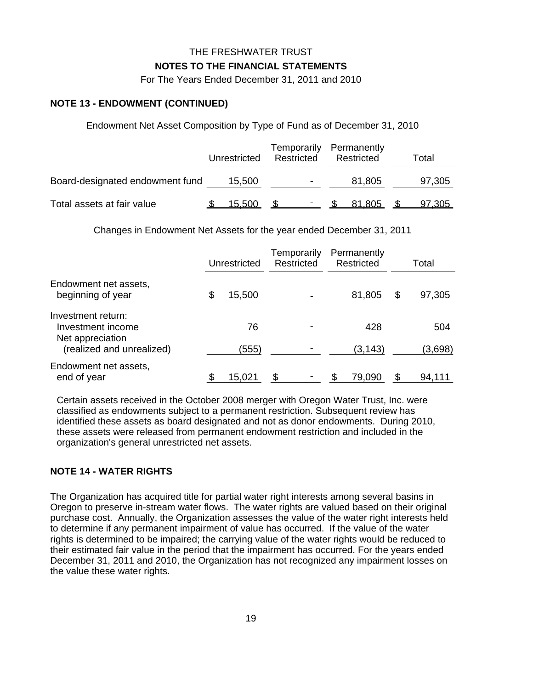For The Years Ended December 31, 2011 and 2010

### **NOTE 13 - ENDOWMENT (CONTINUED)**

Endowment Net Asset Composition by Type of Fund as of December 31, 2010

|                                 | Unrestricted | Restricted               | Temporarily Permanently<br>Restricted | Total  |
|---------------------------------|--------------|--------------------------|---------------------------------------|--------|
| Board-designated endowment fund | 15,500       | $\overline{\phantom{a}}$ | 81,805                                | 97,305 |
| Total assets at fair value      | 15.500       |                          | 81.805                                | 97.305 |

Changes in Endowment Net Assets for the year ended December 31, 2011

|                                                             | Unrestricted | Temporarily<br>Restricted | Permanently<br>Restricted | Total        |
|-------------------------------------------------------------|--------------|---------------------------|---------------------------|--------------|
| Endowment net assets,<br>beginning of year                  | \$<br>15,500 |                           | 81,805                    | \$<br>97,305 |
| Investment return:<br>Investment income<br>Net appreciation | 76           |                           | 428                       | 504          |
| (realized and unrealized)                                   | (555)        |                           | (3, 143)                  | (3,698)      |
| Endowment net assets,<br>end of year                        | 15.02′       |                           | <u>79.090</u>             | 94.          |

Certain assets received in the October 2008 merger with Oregon Water Trust, Inc. were classified as endowments subject to a permanent restriction. Subsequent review has identified these assets as board designated and not as donor endowments. During 2010, these assets were released from permanent endowment restriction and included in the organization's general unrestricted net assets.

### **NOTE 14 - WATER RIGHTS**

The Organization has acquired title for partial water right interests among several basins in Oregon to preserve in-stream water flows. The water rights are valued based on their original purchase cost. Annually, the Organization assesses the value of the water right interests held to determine if any permanent impairment of value has occurred. If the value of the water rights is determined to be impaired; the carrying value of the water rights would be reduced to their estimated fair value in the period that the impairment has occurred. For the years ended December 31, 2011 and 2010, the Organization has not recognized any impairment losses on the value these water rights.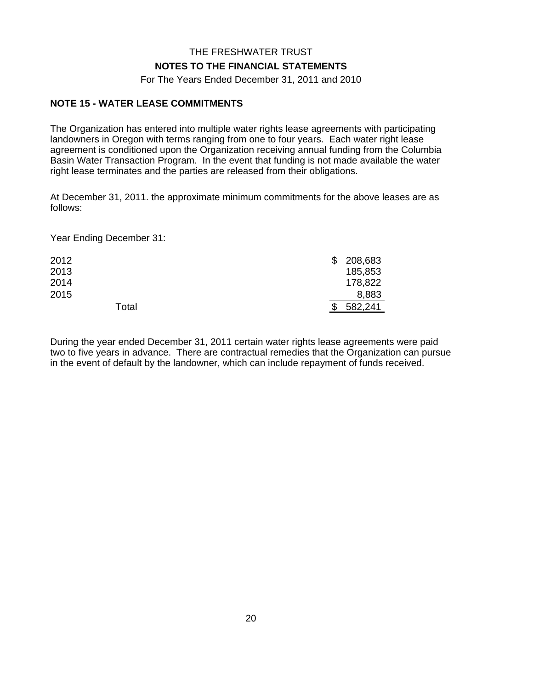For The Years Ended December 31, 2011 and 2010

### **NOTE 15 - WATER LEASE COMMITMENTS**

The Organization has entered into multiple water rights lease agreements with participating landowners in Oregon with terms ranging from one to four years. Each water right lease agreement is conditioned upon the Organization receiving annual funding from the Columbia Basin Water Transaction Program. In the event that funding is not made available the water right lease terminates and the parties are released from their obligations.

At December 31, 2011. the approximate minimum commitments for the above leases are as follows:

Year Ending December 31:

| 2012 |       | \$208,683 |
|------|-------|-----------|
| 2013 |       | 185,853   |
| 2014 |       | 178,822   |
| 2015 |       | 8,883     |
|      | Total | 582,241   |

During the year ended December 31, 2011 certain water rights lease agreements were paid two to five years in advance. There are contractual remedies that the Organization can pursue in the event of default by the landowner, which can include repayment of funds received.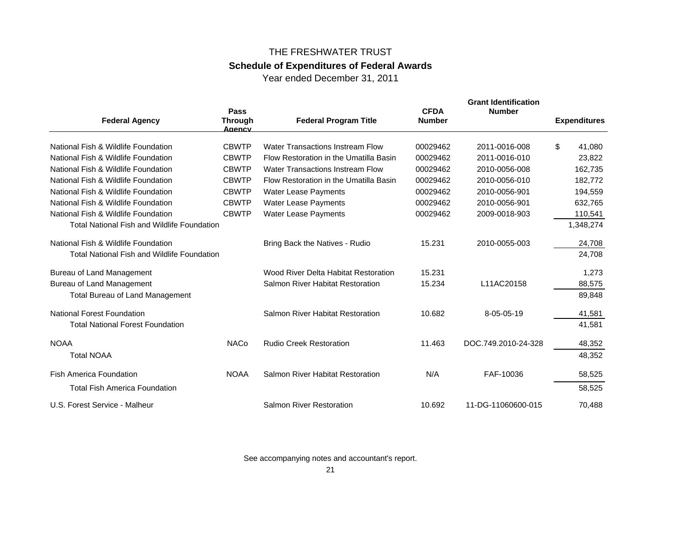# THE FRESHWATER TRUST**Schedule of Expenditures of Federal Awards**

Year ended December 31, 2011

|                                                    | Pass                     |                                         | <b>CFDA</b>   | <b>Grant Identification</b><br><b>Number</b> |                     |
|----------------------------------------------------|--------------------------|-----------------------------------------|---------------|----------------------------------------------|---------------------|
| <b>Federal Agency</b>                              | <b>Through</b><br>Agency | <b>Federal Program Title</b>            | <b>Number</b> |                                              | <b>Expenditures</b> |
| National Fish & Wildlife Foundation                | <b>CBWTP</b>             | Water Transactions Instream Flow        | 00029462      | 2011-0016-008                                | \$<br>41.080        |
| National Fish & Wildlife Foundation                | <b>CBWTP</b>             | Flow Restoration in the Umatilla Basin  | 00029462      | 2011-0016-010                                | 23,822              |
| National Fish & Wildlife Foundation                | <b>CBWTP</b>             | Water Transactions Instream Flow        | 00029462      | 2010-0056-008                                | 162,735             |
| National Fish & Wildlife Foundation                | <b>CBWTP</b>             | Flow Restoration in the Umatilla Basin  | 00029462      | 2010-0056-010                                | 182,772             |
| National Fish & Wildlife Foundation                | <b>CBWTP</b>             | <b>Water Lease Payments</b>             | 00029462      | 2010-0056-901                                | 194,559             |
| National Fish & Wildlife Foundation                | <b>CBWTP</b>             | <b>Water Lease Payments</b>             | 00029462      | 2010-0056-901                                | 632,765             |
| National Fish & Wildlife Foundation                | <b>CBWTP</b>             | Water Lease Payments                    | 00029462      | 2009-0018-903                                | 110,541             |
| <b>Total National Fish and Wildlife Foundation</b> |                          |                                         |               |                                              | 1,348,274           |
| National Fish & Wildlife Foundation                |                          | Bring Back the Natives - Rudio          | 15.231        | 2010-0055-003                                | 24,708              |
| <b>Total National Fish and Wildlife Foundation</b> |                          |                                         |               |                                              | 24,708              |
| Bureau of Land Management                          |                          | Wood River Delta Habitat Restoration    | 15.231        |                                              | 1,273               |
| Bureau of Land Management                          |                          | Salmon River Habitat Restoration        | 15.234        | L11AC20158                                   | 88,575              |
| Total Bureau of Land Management                    |                          |                                         |               |                                              | 89,848              |
| <b>National Forest Foundation</b>                  |                          | <b>Salmon River Habitat Restoration</b> | 10.682        | 8-05-05-19                                   | 41,581              |
| <b>Total National Forest Foundation</b>            |                          |                                         |               |                                              | 41,581              |
| <b>NOAA</b>                                        | <b>NACo</b>              | <b>Rudio Creek Restoration</b>          | 11.463        | DOC.749.2010-24-328                          | 48,352              |
| <b>Total NOAA</b>                                  |                          |                                         |               |                                              | 48,352              |
| <b>Fish America Foundation</b>                     | <b>NOAA</b>              | Salmon River Habitat Restoration        | N/A           | FAF-10036                                    | 58,525              |
| <b>Total Fish America Foundation</b>               |                          |                                         |               |                                              | 58,525              |
| U.S. Forest Service - Malheur                      |                          | <b>Salmon River Restoration</b>         | 10.692        | 11-DG-11060600-015                           | 70,488              |

See accompanying notes and accountant's report.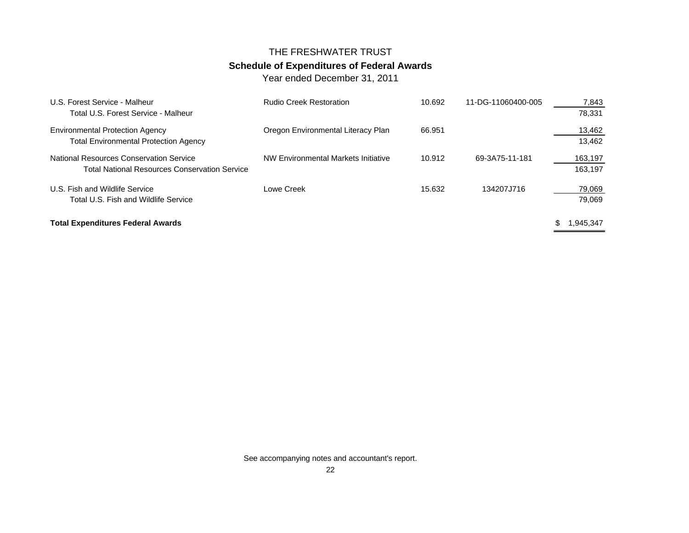## THE FRESHWATER TRUST**Schedule of Expenditures of Federal Awards**

Year ended December 31, 2011

| U.S. Forest Service - Malheur<br>Total U.S. Forest Service - Malheur                            | <b>Rudio Creek Restoration</b>      | 10.692 | 11-DG-11060400-005 | 7,843<br>78,331    |
|-------------------------------------------------------------------------------------------------|-------------------------------------|--------|--------------------|--------------------|
| <b>Environmental Protection Agency</b><br><b>Total Environmental Protection Agency</b>          | Oregon Environmental Literacy Plan  | 66.951 |                    | 13,462<br>13,462   |
| National Resources Conservation Service<br><b>Total National Resources Conservation Service</b> | NW Environmental Markets Initiative | 10.912 | 69-3A75-11-181     | 163,197<br>163,197 |
| U.S. Fish and Wildlife Service<br>Total U.S. Fish and Wildlife Service                          | Lowe Creek                          | 15.632 | 134207J716         | 79,069<br>79,069   |
| <b>Total Expenditures Federal Awards</b>                                                        |                                     |        |                    | 1.945.347          |

See accompanying notes and accountant's report.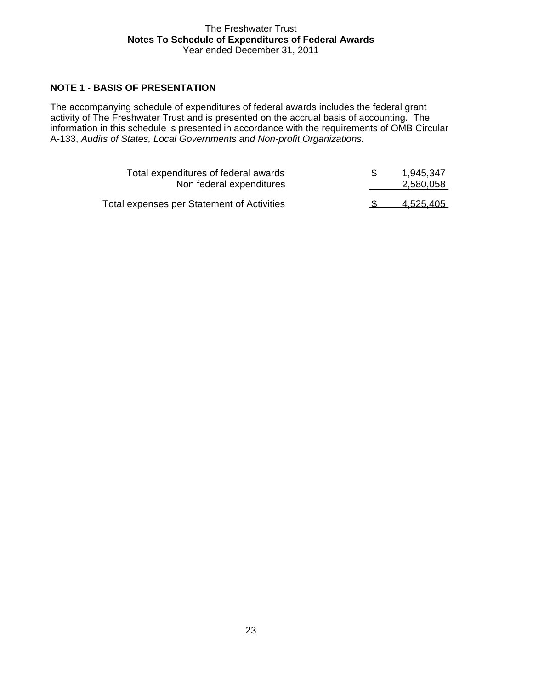### **NOTE 1 - BASIS OF PRESENTATION**

The accompanying schedule of expenditures of federal awards includes the federal grant activity of The Freshwater Trust and is presented on the accrual basis of accounting. The information in this schedule is presented in accordance with the requirements of OMB Circular A-133, *Audits of States, Local Governments and Non-profit Organizations.*

| Total expenditures of federal awards       |  | 1,945,347         |
|--------------------------------------------|--|-------------------|
| Non federal expenditures                   |  | 2,580,058         |
| Total expenses per Statement of Activities |  | <u>4.525.405 </u> |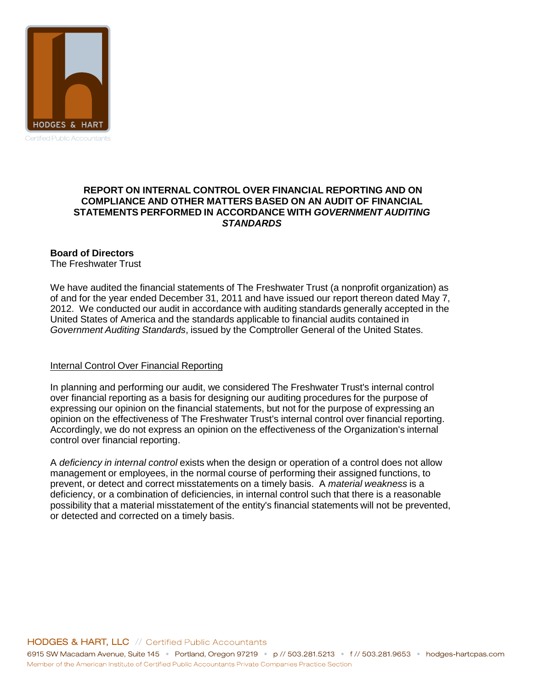

### **REPORT ON INTERNAL CONTROL OVER FINANCIAL REPORTING AND ON COMPLIANCE AND OTHER MATTERS BASED ON AN AUDIT OF FINANCIAL STATEMENTS PERFORMED IN ACCORDANCE WITH** *GOVERNMENT AUDITING STANDARDS*

### **Board of Directors**

The Freshwater Trust

We have audited the financial statements of The Freshwater Trust (a nonprofit organization) as of and for the year ended December 31, 2011 and have issued our report thereon dated May 7, 2012. We conducted our audit in accordance with auditing standards generally accepted in the United States of America and the standards applicable to financial audits contained in *Government Auditing Standards*, issued by the Comptroller General of the United States.

#### Internal Control Over Financial Reporting

In planning and performing our audit, we considered The Freshwater Trust's internal control over financial reporting as a basis for designing our auditing procedures for the purpose of expressing our opinion on the financial statements, but not for the purpose of expressing an opinion on the effectiveness of The Freshwater Trust's internal control over financial reporting. Accordingly, we do not express an opinion on the effectiveness of the Organization's internal control over financial reporting.

A *deficiency in internal control* exists when the design or operation of a control does not allow management or employees, in the normal course of performing their assigned functions, to prevent, or detect and correct misstatements on a timely basis. A *material weakness* is a deficiency, or a combination of deficiencies, in internal control such that there is a reasonable possibility that a material misstatement of the entity's financial statements will not be prevented, or detected and corrected on a timely basis.

HODGES & HART, LLC // Certified Public Accountants

6915 SW Macadam Avenue, Suite 145 Portland, Oregon 97219 p//503.281.5213 f//503.281.9653 hodges-hartcpas.com Member of the American Institute of Certified Public Accountants Private Companies Practice Section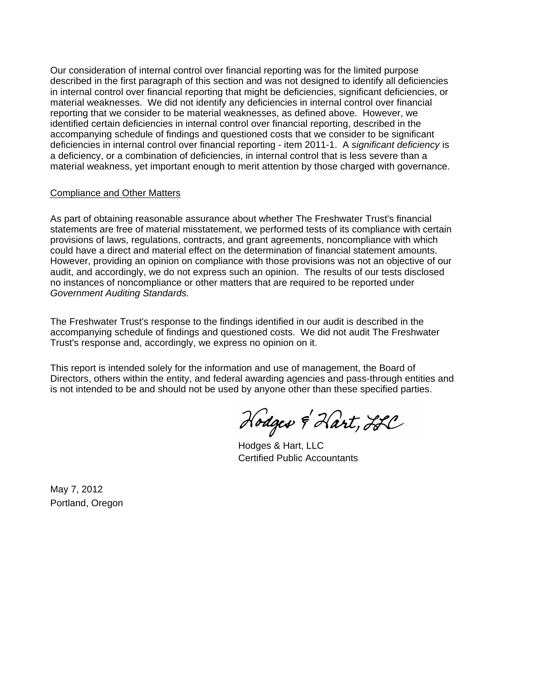Our consideration of internal control over financial reporting was for the limited purpose described in the first paragraph of this section and was not designed to identify all deficiencies in internal control over financial reporting that might be deficiencies, significant deficiencies, or material weaknesses. We did not identify any deficiencies in internal control over financial reporting that we consider to be material weaknesses, as defined above. However, we identified certain deficiencies in internal control over financial reporting, described in the accompanying schedule of findings and questioned costs that we consider to be significant deficiencies in internal control over financial reporting - item 2011-1. A *significant deficiency* is a deficiency, or a combination of deficiencies, in internal control that is less severe than a material weakness, yet important enough to merit attention by those charged with governance.

#### Compliance and Other Matters

As part of obtaining reasonable assurance about whether The Freshwater Trust's financial statements are free of material misstatement, we performed tests of its compliance with certain provisions of laws, regulations, contracts, and grant agreements, noncompliance with which could have a direct and material effect on the determination of financial statement amounts. However, providing an opinion on compliance with those provisions was not an objective of our audit, and accordingly, we do not express such an opinion. The results of our tests disclosed no instances of noncompliance or other matters that are required to be reported under *Government Auditing Standards.*

The Freshwater Trust's response to the findings identified in our audit is described in the accompanying schedule of findings and questioned costs. We did not audit The Freshwater Trust's response and, accordingly, we express no opinion on it.

This report is intended solely for the information and use of management, the Board of Directors, others within the entity, and federal awarding agencies and pass-through entities and is not intended to be and should not be used by anyone other than these specified parties.

Hodges & Hart, ILC

Hodges & Hart, LLC Certified Public Accountants

May 7, 2012 Portland, Oregon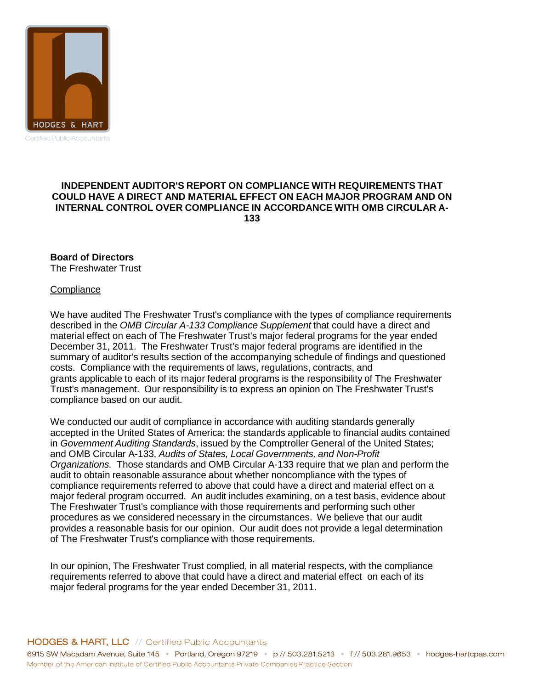

### **INDEPENDENT AUDITOR'S REPORT ON COMPLIANCE WITH REQUIREMENTS THAT COULD HAVE A DIRECT AND MATERIAL EFFECT ON EACH MAJOR PROGRAM AND ON INTERNAL CONTROL OVER COMPLIANCE IN ACCORDANCE WITH OMB CIRCULAR A-133**

### **Board of Directors**

The Freshwater Trust

#### **Compliance**

We have audited The Freshwater Trust's compliance with the types of compliance requirements described in the *OMB Circular A-133 Compliance Supplement* that could have a direct and material effect on each of The Freshwater Trust's major federal programs for the year ended December 31, 2011. The Freshwater Trust's major federal programs are identified in the summary of auditor's results section of the accompanying schedule of findings and questioned costs. Compliance with the requirements of laws, regulations, contracts, and grants applicable to each of its major federal programs is the responsibility of The Freshwater Trust's management. Our responsibility is to express an opinion on The Freshwater Trust's compliance based on our audit.

We conducted our audit of compliance in accordance with auditing standards generally accepted in the United States of America; the standards applicable to financial audits contained in *Government Auditing Standards*, issued by the Comptroller General of the United States; and OMB Circular A-133, *Audits of States, Local Governments, and Non-Profit Organizations.* Those standards and OMB Circular A-133 require that we plan and perform the audit to obtain reasonable assurance about whether noncompliance with the types of compliance requirements referred to above that could have a direct and material effect on a major federal program occurred. An audit includes examining, on a test basis, evidence about The Freshwater Trust's compliance with those requirements and performing such other procedures as we considered necessary in the circumstances. We believe that our audit provides a reasonable basis for our opinion. Our audit does not provide a legal determination of The Freshwater Trust's compliance with those requirements.

In our opinion, The Freshwater Trust complied, in all material respects, with the compliance requirements referred to above that could have a direct and material effect on each of its major federal programs for the year ended December 31, 2011.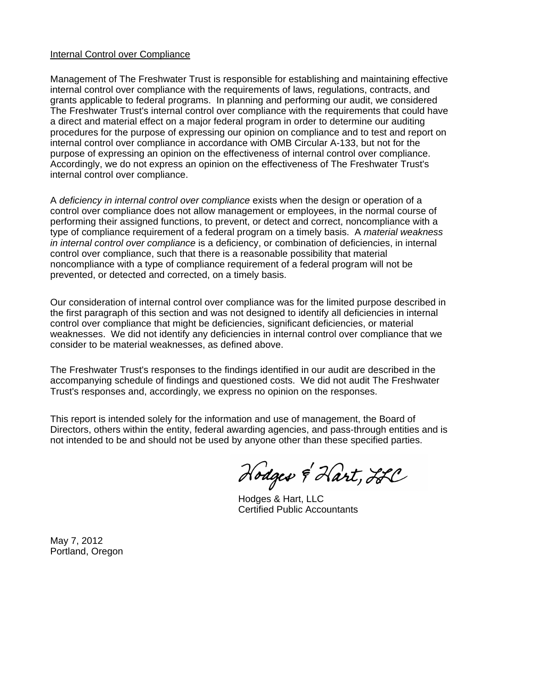### Internal Control over Compliance

Management of The Freshwater Trust is responsible for establishing and maintaining effective internal control over compliance with the requirements of laws, regulations, contracts, and grants applicable to federal programs. In planning and performing our audit, we considered The Freshwater Trust's internal control over compliance with the requirements that could have a direct and material effect on a major federal program in order to determine our auditing procedures for the purpose of expressing our opinion on compliance and to test and report on internal control over compliance in accordance with OMB Circular A-133, but not for the purpose of expressing an opinion on the effectiveness of internal control over compliance. Accordingly, we do not express an opinion on the effectiveness of The Freshwater Trust's internal control over compliance.

A *deficiency in internal control over compliance* exists when the design or operation of a control over compliance does not allow management or employees, in the normal course of performing their assigned functions, to prevent, or detect and correct, noncompliance with a type of compliance requirement of a federal program on a timely basis. A *material weakness in internal control over compliance* is a deficiency, or combination of deficiencies, in internal control over compliance, such that there is a reasonable possibility that material noncompliance with a type of compliance requirement of a federal program will not be prevented, or detected and corrected, on a timely basis.

Our consideration of internal control over compliance was for the limited purpose described in the first paragraph of this section and was not designed to identify all deficiencies in internal control over compliance that might be deficiencies, significant deficiencies, or material weaknesses. We did not identify any deficiencies in internal control over compliance that we consider to be material weaknesses, as defined above.

The Freshwater Trust's responses to the findings identified in our audit are described in the accompanying schedule of findings and questioned costs. We did not audit The Freshwater Trust's responses and, accordingly, we express no opinion on the responses.

This report is intended solely for the information and use of management, the Board of Directors, others within the entity, federal awarding agencies, and pass-through entities and is not intended to be and should not be used by anyone other than these specified parties.

Hodges & Hart, LLC

Hodges & Hart, LLC Certified Public Accountants

May 7, 2012 Portland, Oregon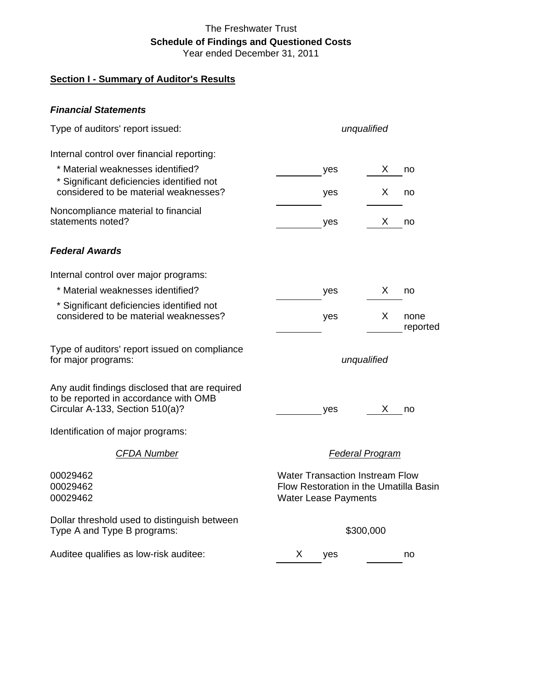# The Freshwater Trust **Schedule of Findings and Questioned Costs**

Year ended December 31, 2011

### **Section I - Summary of Auditor's Results**

### *Financial Statements*

| Type of auditors' report issued:                                                                                           | unqualified                                                                                                     |                        |  |
|----------------------------------------------------------------------------------------------------------------------------|-----------------------------------------------------------------------------------------------------------------|------------------------|--|
| Internal control over financial reporting:                                                                                 |                                                                                                                 |                        |  |
| * Material weaknesses identified?<br>* Significant deficiencies identified not<br>considered to be material weaknesses?    | yes                                                                                                             | X<br>no<br>X           |  |
|                                                                                                                            | yes                                                                                                             | no                     |  |
| Noncompliance material to financial<br>statements noted?                                                                   | yes                                                                                                             | X<br>no                |  |
| <b>Federal Awards</b>                                                                                                      |                                                                                                                 |                        |  |
| Internal control over major programs:                                                                                      |                                                                                                                 |                        |  |
| * Material weaknesses identified?                                                                                          | yes                                                                                                             | X.<br>no               |  |
| * Significant deficiencies identified not<br>considered to be material weaknesses?                                         | yes                                                                                                             | X<br>none<br>reported  |  |
| Type of auditors' report issued on compliance<br>for major programs:                                                       | unqualified                                                                                                     |                        |  |
| Any audit findings disclosed that are required<br>to be reported in accordance with OMB<br>Circular A-133, Section 510(a)? | yes                                                                                                             | X<br>no                |  |
| Identification of major programs:                                                                                          |                                                                                                                 |                        |  |
| <b>CFDA Number</b>                                                                                                         |                                                                                                                 | <b>Federal Program</b> |  |
| 00029462<br>00029462<br>00029462                                                                                           | <b>Water Transaction Instream Flow</b><br>Flow Restoration in the Umatilla Basin<br><b>Water Lease Payments</b> |                        |  |
| Dollar threshold used to distinguish between<br>Type A and Type B programs:                                                |                                                                                                                 | \$300,000              |  |
| Auditee qualifies as low-risk auditee:                                                                                     | X<br>yes                                                                                                        | no                     |  |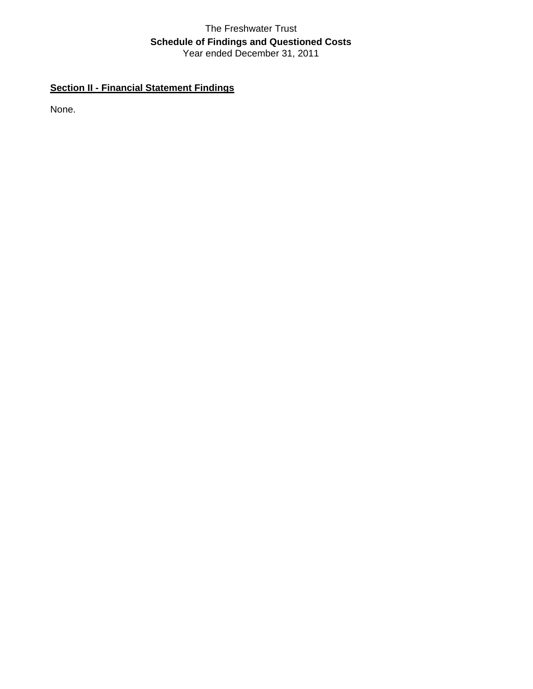### The Freshwater Trust **Schedule of Findings and Questioned Costs** Year ended December 31, 2011

### **Section II - Financial Statement Findings**

None.